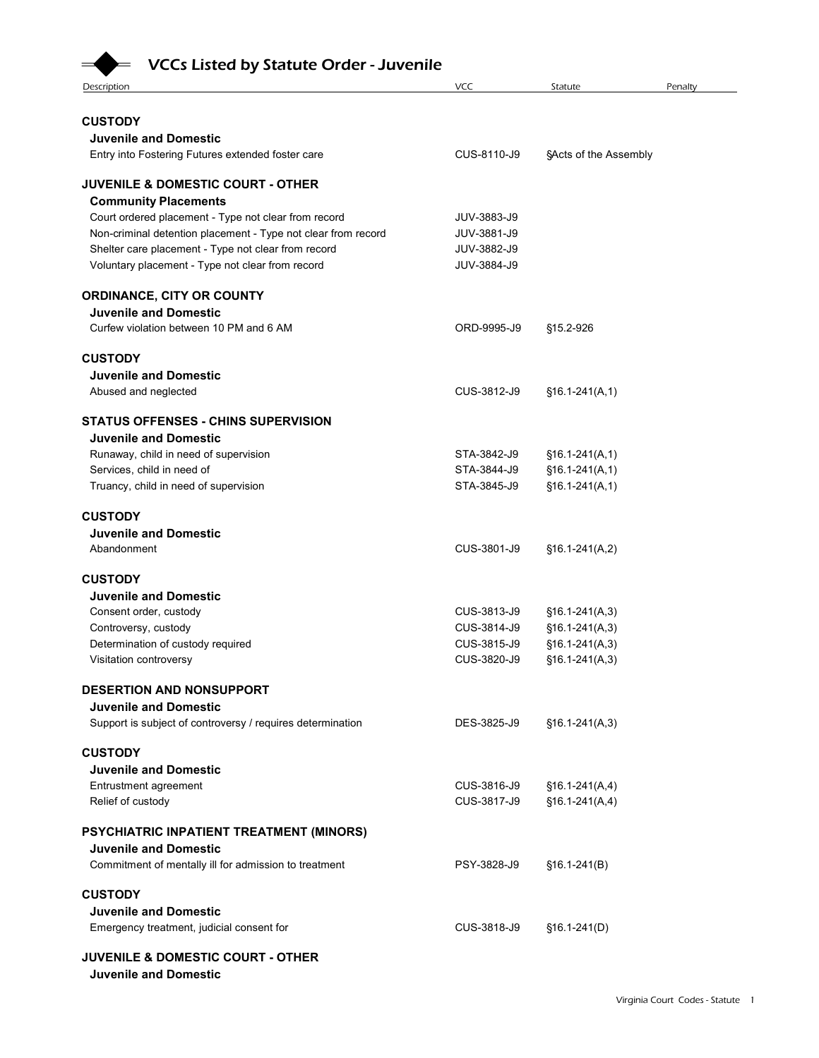## **VCCs Listed by Statute Order - Juvenile**

| <b>VCCs Listed by Statute Order - Juvenile</b>                                                                       |                            |                                      |                                  |
|----------------------------------------------------------------------------------------------------------------------|----------------------------|--------------------------------------|----------------------------------|
| Description                                                                                                          | <b>VCC</b>                 | Statute                              | Penalty                          |
| <b>CUSTODY</b>                                                                                                       |                            |                                      |                                  |
| <b>Juvenile and Domestic</b>                                                                                         |                            |                                      |                                  |
| Entry into Fostering Futures extended foster care                                                                    | CUS-8110-J9                | SActs of the Assembly                |                                  |
| <b>JUVENILE &amp; DOMESTIC COURT - OTHER</b>                                                                         |                            |                                      |                                  |
| <b>Community Placements</b>                                                                                          |                            |                                      |                                  |
| Court ordered placement - Type not clear from record                                                                 | JUV-3883-J9                |                                      |                                  |
| Non-criminal detention placement - Type not clear from record<br>Shelter care placement - Type not clear from record | JUV-3881-J9<br>JUV-3882-J9 |                                      |                                  |
| Voluntary placement - Type not clear from record                                                                     | JUV-3884-J9                |                                      |                                  |
| ORDINANCE, CITY OR COUNTY                                                                                            |                            |                                      |                                  |
| <b>Juvenile and Domestic</b>                                                                                         |                            |                                      |                                  |
| Curfew violation between 10 PM and 6 AM                                                                              | ORD-9995-J9                | §15.2-926                            |                                  |
| <b>CUSTODY</b>                                                                                                       |                            |                                      |                                  |
| <b>Juvenile and Domestic</b>                                                                                         |                            |                                      |                                  |
| Abused and neglected                                                                                                 | CUS-3812-J9                | $$16.1-241(A,1)$                     |                                  |
| <b>STATUS OFFENSES - CHINS SUPERVISION</b>                                                                           |                            |                                      |                                  |
| <b>Juvenile and Domestic</b>                                                                                         | STA-3842-J9                | $§16.1-241(A,1)$                     |                                  |
| Runaway, child in need of supervision<br>Services, child in need of                                                  | STA-3844-J9                | $$16.1-241(A,1)$                     |                                  |
| Truancy, child in need of supervision                                                                                | STA-3845-J9                | $$16.1-241(A,1)$                     |                                  |
| <b>CUSTODY</b>                                                                                                       |                            |                                      |                                  |
| <b>Juvenile and Domestic</b>                                                                                         |                            |                                      |                                  |
| Abandonment                                                                                                          | CUS-3801-J9                | $§16.1-241(A,2)$                     |                                  |
| <b>CUSTODY</b>                                                                                                       |                            |                                      |                                  |
| <b>Juvenile and Domestic</b>                                                                                         |                            |                                      |                                  |
| Consent order, custody                                                                                               | CUS-3813-J9<br>CUS-3814-J9 | $$16.1-241(A,3)$                     |                                  |
| Controversy, custody<br>Determination of custody required                                                            | CUS-3815-J9                | $$16.1-241(A,3)$<br>$$16.1-241(A,3)$ |                                  |
| Visitation controversy                                                                                               | CUS-3820-J9                | $$16.1-241(A,3)$                     |                                  |
| DESERTION AND NONSUPPORT                                                                                             |                            |                                      |                                  |
| <b>Juvenile and Domestic</b>                                                                                         |                            |                                      |                                  |
| Support is subject of controversy / requires determination                                                           | DES-3825-J9                | $$16.1-241(A,3)$                     |                                  |
| <b>CUSTODY</b>                                                                                                       |                            |                                      |                                  |
| <b>Juvenile and Domestic</b>                                                                                         |                            |                                      |                                  |
| Entrustment agreement                                                                                                | CUS-3816-J9<br>CUS-3817-J9 | $§16.1-241(A,4)$                     |                                  |
| Relief of custody                                                                                                    |                            | $$16.1-241(A,4)$                     |                                  |
| PSYCHIATRIC INPATIENT TREATMENT (MINORS)                                                                             |                            |                                      |                                  |
| <b>Juvenile and Domestic</b><br>Commitment of mentally ill for admission to treatment                                | PSY-3828-J9                | $$16.1-241(B)$                       |                                  |
|                                                                                                                      |                            |                                      |                                  |
| <b>CUSTODY</b><br><b>Juvenile and Domestic</b>                                                                       |                            |                                      |                                  |
| Emergency treatment, judicial consent for                                                                            | CUS-3818-J9                | $$16.1-241(D)$                       |                                  |
| <b>JUVENILE &amp; DOMESTIC COURT - OTHER</b>                                                                         |                            |                                      |                                  |
| <b>Juvenile and Domestic</b>                                                                                         |                            |                                      |                                  |
|                                                                                                                      |                            |                                      | Virginia Court Codes - Statute 1 |
|                                                                                                                      |                            |                                      |                                  |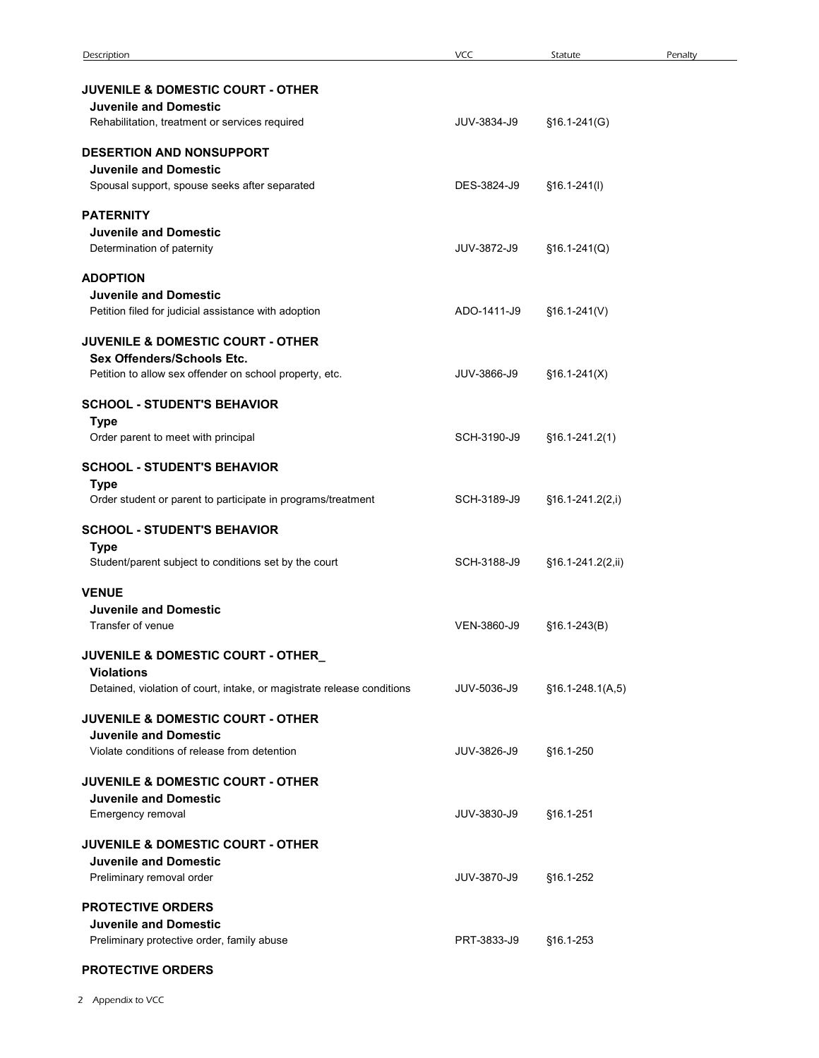| Description                                                                                                                           | <b>VCC</b>  | Statute            | Penalty |
|---------------------------------------------------------------------------------------------------------------------------------------|-------------|--------------------|---------|
| <b>JUVENILE &amp; DOMESTIC COURT - OTHER</b><br><b>Juvenile and Domestic</b>                                                          |             |                    |         |
| Rehabilitation, treatment or services required                                                                                        | JUV-3834-J9 | $$16.1-241(G)$     |         |
| <b>DESERTION AND NONSUPPORT</b><br><b>Juvenile and Domestic</b><br>Spousal support, spouse seeks after separated                      | DES-3824-J9 | $$16.1-241(l)$     |         |
| <b>PATERNITY</b><br><b>Juvenile and Domestic</b><br>Determination of paternity                                                        | JUV-3872-J9 | $$16.1-241(Q)$     |         |
| <b>ADOPTION</b><br><b>Juvenile and Domestic</b><br>Petition filed for judicial assistance with adoption                               | ADO-1411-J9 | $$16.1-241(V)$     |         |
| <b>JUVENILE &amp; DOMESTIC COURT - OTHER</b><br>Sex Offenders/Schools Etc.<br>Petition to allow sex offender on school property, etc. | JUV-3866-J9 | $$16.1-241(X)$     |         |
| <b>SCHOOL - STUDENT'S BEHAVIOR</b><br><b>Type</b>                                                                                     |             |                    |         |
| Order parent to meet with principal                                                                                                   | SCH-3190-J9 | $$16.1-241.2(1)$   |         |
| <b>SCHOOL - STUDENT'S BEHAVIOR</b><br><b>Type</b><br>Order student or parent to participate in programs/treatment                     | SCH-3189-J9 | $$16.1-241.2(2,i)$ |         |
| <b>SCHOOL - STUDENT'S BEHAVIOR</b><br><b>Type</b><br>Student/parent subject to conditions set by the court                            | SCH-3188-J9 | §16.1-241.2(2,ii)  |         |
| <b>VENUE</b>                                                                                                                          |             |                    |         |
| <b>Juvenile and Domestic</b><br>Transfer of venue                                                                                     | VEN-3860-J9 | $$16.1-243(B)$     |         |
| JUVENILE & DOMESTIC COURT - OTHER<br><b>Violations</b><br>Detained, violation of court, intake, or magistrate release conditions      | JUV-5036-J9 | $§16.1-248.1(A,5)$ |         |
| JUVENILE & DOMESTIC COURT - OTHER<br><b>Juvenile and Domestic</b>                                                                     |             |                    |         |
| Violate conditions of release from detention<br>JUVENILE & DOMESTIC COURT - OTHER<br><b>Juvenile and Domestic</b>                     | JUV-3826-J9 | §16.1-250          |         |
| Emergency removal                                                                                                                     | JUV-3830-J9 | §16.1-251          |         |
| JUVENILE & DOMESTIC COURT - OTHER<br><b>Juvenile and Domestic</b><br>Preliminary removal order                                        | JUV-3870-J9 | §16.1-252          |         |
| <b>PROTECTIVE ORDERS</b><br><b>Juvenile and Domestic</b><br>Preliminary protective order, family abuse                                | PRT-3833-J9 | §16.1-253          |         |
| PROTECTIVE ORDERS                                                                                                                     |             |                    |         |
|                                                                                                                                       |             |                    |         |
| 2 Appendix to VCC                                                                                                                     |             |                    |         |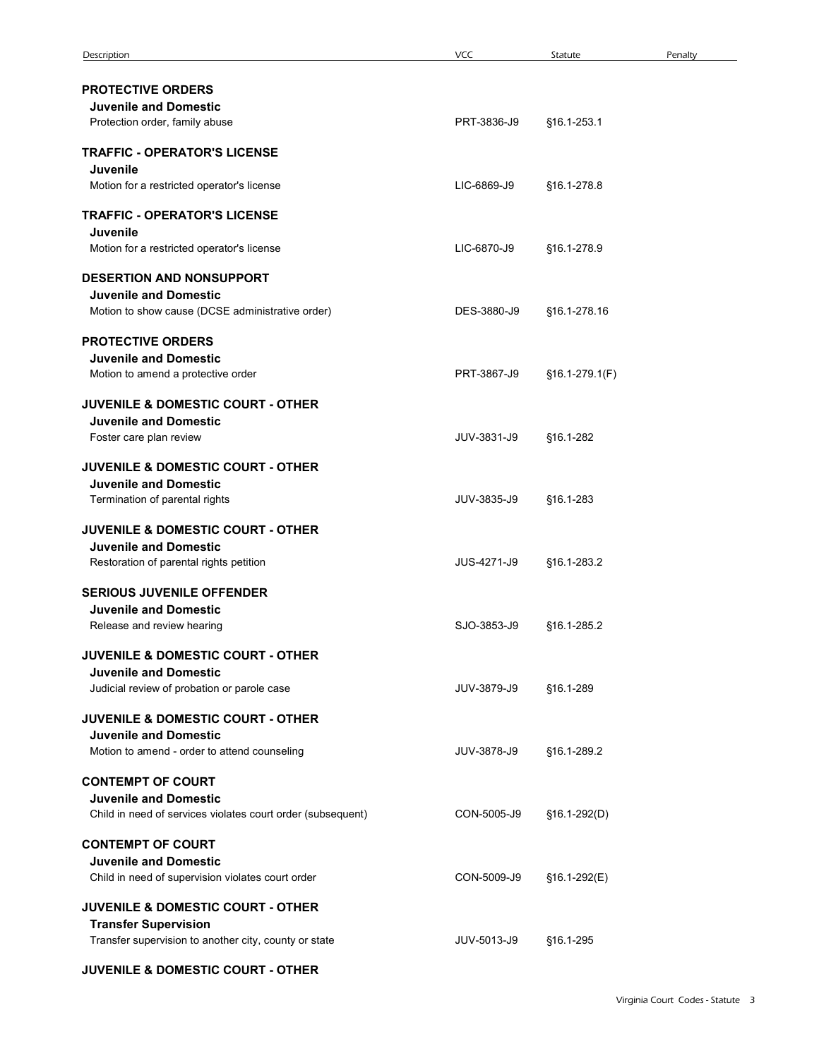| Description                                                                                                                 | <b>VCC</b>  | Statute        | Penalty                          |
|-----------------------------------------------------------------------------------------------------------------------------|-------------|----------------|----------------------------------|
| <b>PROTECTIVE ORDERS</b><br><b>Juvenile and Domestic</b>                                                                    |             |                |                                  |
| Protection order, family abuse                                                                                              | PRT-3836-J9 | §16.1-253.1    |                                  |
| <b>TRAFFIC - OPERATOR'S LICENSE</b><br>Juvenile<br>Motion for a restricted operator's license                               | LIC-6869-J9 | §16.1-278.8    |                                  |
| <b>TRAFFIC - OPERATOR'S LICENSE</b>                                                                                         |             |                |                                  |
| Juvenile<br>Motion for a restricted operator's license                                                                      | LIC-6870-J9 | §16.1-278.9    |                                  |
| DESERTION AND NONSUPPORT<br><b>Juvenile and Domestic</b><br>Motion to show cause (DCSE administrative order)                | DES-3880-J9 | §16.1-278.16   |                                  |
| <b>PROTECTIVE ORDERS</b><br><b>Juvenile and Domestic</b>                                                                    |             |                |                                  |
| Motion to amend a protective order                                                                                          | PRT-3867-J9 | §16.1-279.1(F) |                                  |
| <b>JUVENILE &amp; DOMESTIC COURT - OTHER</b><br><b>Juvenile and Domestic</b><br>Foster care plan review                     | JUV-3831-J9 | §16.1-282      |                                  |
| <b>JUVENILE &amp; DOMESTIC COURT - OTHER</b><br><b>Juvenile and Domestic</b>                                                |             |                |                                  |
| Termination of parental rights                                                                                              | JUV-3835-J9 | §16.1-283      |                                  |
| <b>JUVENILE &amp; DOMESTIC COURT - OTHER</b><br><b>Juvenile and Domestic</b><br>Restoration of parental rights petition     | JUS-4271-J9 | §16.1-283.2    |                                  |
| <b>SERIOUS JUVENILE OFFENDER</b>                                                                                            |             |                |                                  |
| <b>Juvenile and Domestic</b><br>Release and review hearing                                                                  | SJO-3853-J9 | §16.1-285.2    |                                  |
| <b>JUVENILE &amp; DOMESTIC COURT - OTHER</b><br><b>Juvenile and Domestic</b><br>Judicial review of probation or parole case | JUV-3879-J9 | §16.1-289      |                                  |
| JUVENILE & DOMESTIC COURT - OTHER                                                                                           |             |                |                                  |
| <b>Juvenile and Domestic</b><br>Motion to amend - order to attend counseling                                                | JUV-3878-J9 | §16.1-289.2    |                                  |
| <b>CONTEMPT OF COURT</b><br><b>Juvenile and Domestic</b><br>Child in need of services violates court order (subsequent)     | CON-5005-J9 | §16.1-292(D)   |                                  |
| <b>CONTEMPT OF COURT</b><br><b>Juvenile and Domestic</b><br>Child in need of supervision violates court order               | CON-5009-J9 | §16.1-292(E)   |                                  |
| <b>JUVENILE &amp; DOMESTIC COURT - OTHER</b>                                                                                |             |                |                                  |
| <b>Transfer Supervision</b><br>Transfer supervision to another city, county or state                                        | JUV-5013-J9 | §16.1-295      |                                  |
| JUVENILE & DOMESTIC COURT - OTHER                                                                                           |             |                |                                  |
|                                                                                                                             |             |                | Virginia Court Codes - Statute 3 |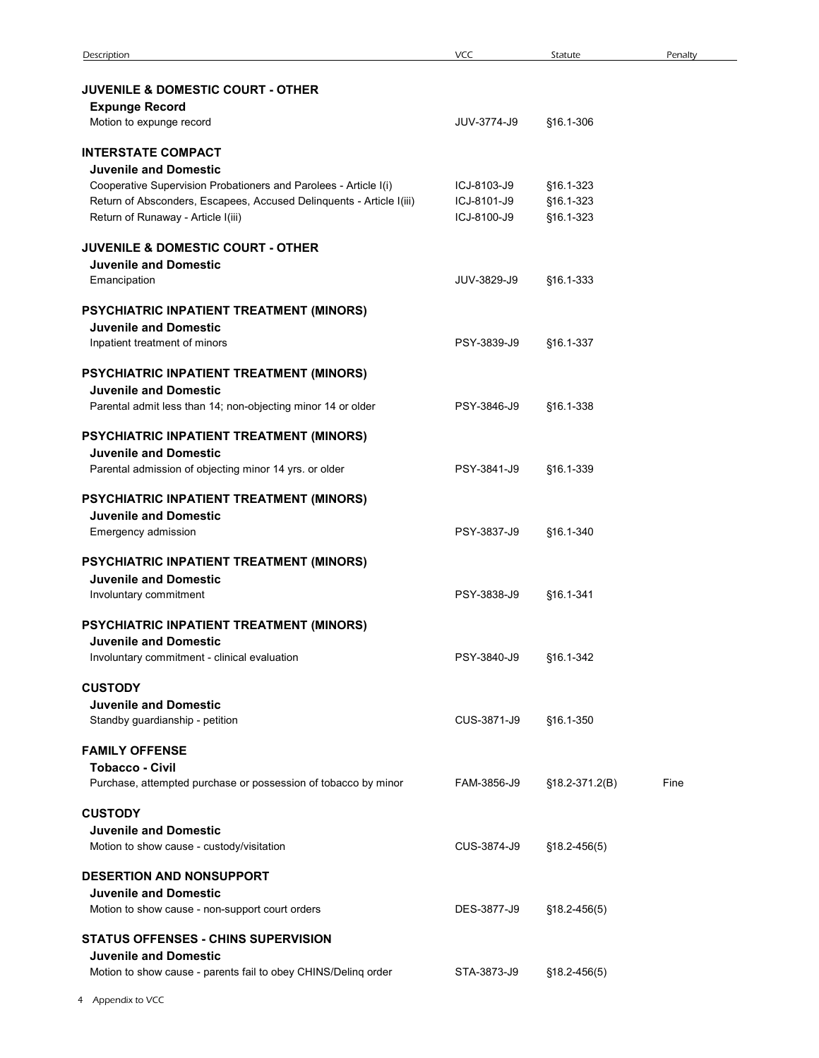| Description                                                                                      | <b>VCC</b>  | Statute          | Penalty |  |
|--------------------------------------------------------------------------------------------------|-------------|------------------|---------|--|
| <b>JUVENILE &amp; DOMESTIC COURT - OTHER</b>                                                     |             |                  |         |  |
| <b>Expunge Record</b>                                                                            |             |                  |         |  |
| Motion to expunge record                                                                         | JUV-3774-J9 | §16.1-306        |         |  |
| <b>INTERSTATE COMPACT</b>                                                                        |             |                  |         |  |
| <b>Juvenile and Domestic</b><br>Cooperative Supervision Probationers and Parolees - Article I(i) | ICJ-8103-J9 | §16.1-323        |         |  |
| Return of Absconders, Escapees, Accused Delinquents - Article I(iii)                             | ICJ-8101-J9 | §16.1-323        |         |  |
| Return of Runaway - Article I(iii)                                                               | ICJ-8100-J9 | §16.1-323        |         |  |
| <b>JUVENILE &amp; DOMESTIC COURT - OTHER</b><br><b>Juvenile and Domestic</b>                     |             |                  |         |  |
| Emancipation                                                                                     | JUV-3829-J9 | §16.1-333        |         |  |
| PSYCHIATRIC INPATIENT TREATMENT (MINORS)                                                         |             |                  |         |  |
| <b>Juvenile and Domestic</b>                                                                     |             |                  |         |  |
| Inpatient treatment of minors                                                                    | PSY-3839-J9 | §16.1-337        |         |  |
| PSYCHIATRIC INPATIENT TREATMENT (MINORS)                                                         |             |                  |         |  |
| <b>Juvenile and Domestic</b><br>Parental admit less than 14; non-objecting minor 14 or older     | PSY-3846-J9 | §16.1-338        |         |  |
| PSYCHIATRIC INPATIENT TREATMENT (MINORS)                                                         |             |                  |         |  |
| <b>Juvenile and Domestic</b>                                                                     |             |                  |         |  |
| Parental admission of objecting minor 14 yrs. or older                                           | PSY-3841-J9 | §16.1-339        |         |  |
| PSYCHIATRIC INPATIENT TREATMENT (MINORS)                                                         |             |                  |         |  |
| <b>Juvenile and Domestic</b><br>Emergency admission                                              | PSY-3837-J9 | §16.1-340        |         |  |
|                                                                                                  |             |                  |         |  |
| PSYCHIATRIC INPATIENT TREATMENT (MINORS)<br><b>Juvenile and Domestic</b>                         |             |                  |         |  |
| Involuntary commitment                                                                           | PSY-3838-J9 | §16.1-341        |         |  |
| PSYCHIATRIC INPATIENT TREATMENT (MINORS)                                                         |             |                  |         |  |
| <b>Juvenile and Domestic</b><br>Involuntary commitment - clinical evaluation                     | PSY-3840-J9 | §16.1-342        |         |  |
|                                                                                                  |             |                  |         |  |
| <b>CUSTODY</b><br><b>Juvenile and Domestic</b>                                                   |             |                  |         |  |
| Standby guardianship - petition                                                                  | CUS-3871-J9 | §16.1-350        |         |  |
| <b>FAMILY OFFENSE</b>                                                                            |             |                  |         |  |
| <b>Tobacco - Civil</b><br>Purchase, attempted purchase or possession of tobacco by minor         | FAM-3856-J9 | §18.2-371.2(B)   | Fine    |  |
|                                                                                                  |             |                  |         |  |
| <b>CUSTODY</b><br><b>Juvenile and Domestic</b>                                                   |             |                  |         |  |
| Motion to show cause - custody/visitation                                                        | CUS-3874-J9 | $$18.2 - 456(5)$ |         |  |
| <b>DESERTION AND NONSUPPORT</b>                                                                  |             |                  |         |  |
| <b>Juvenile and Domestic</b>                                                                     | DES-3877-J9 |                  |         |  |
| Motion to show cause - non-support court orders                                                  |             | $$18.2 - 456(5)$ |         |  |
| <b>STATUS OFFENSES - CHINS SUPERVISION</b><br><b>Juvenile and Domestic</b>                       |             |                  |         |  |
| Motion to show cause - parents fail to obey CHINS/Delinq order                                   | STA-3873-J9 | §18.2-456(5)     |         |  |
| Appendix to VCC                                                                                  |             |                  |         |  |
|                                                                                                  |             |                  |         |  |
|                                                                                                  |             |                  |         |  |
|                                                                                                  |             |                  |         |  |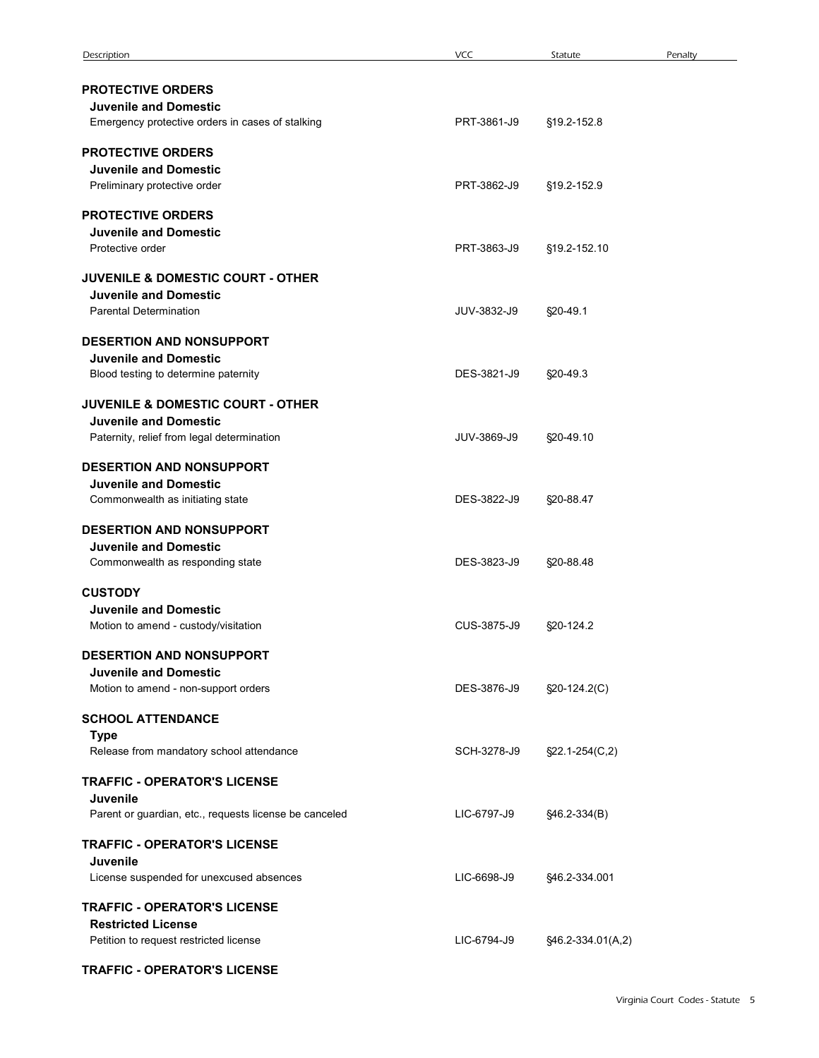| Description                                                                                             | <b>VCC</b>  | Penalty<br>Statute               |
|---------------------------------------------------------------------------------------------------------|-------------|----------------------------------|
| <b>PROTECTIVE ORDERS</b><br><b>Juvenile and Domestic</b>                                                |             |                                  |
| Emergency protective orders in cases of stalking                                                        | PRT-3861-J9 | §19.2-152.8                      |
| <b>PROTECTIVE ORDERS</b><br><b>Juvenile and Domestic</b><br>Preliminary protective order                | PRT-3862-J9 | §19.2-152.9                      |
| <b>PROTECTIVE ORDERS</b><br><b>Juvenile and Domestic</b><br>Protective order                            | PRT-3863-J9 | §19.2-152.10                     |
| <b>JUVENILE &amp; DOMESTIC COURT - OTHER</b><br><b>Juvenile and Domestic</b>                            |             |                                  |
| <b>Parental Determination</b>                                                                           | JUV-3832-J9 | §20-49.1                         |
| <b>DESERTION AND NONSUPPORT</b><br><b>Juvenile and Domestic</b><br>Blood testing to determine paternity | DES-3821-J9 | §20-49.3                         |
| JUVENILE & DOMESTIC COURT - OTHER<br><b>Juvenile and Domestic</b>                                       |             |                                  |
| Paternity, relief from legal determination                                                              | JUV-3869-J9 | §20-49.10                        |
| <b>DESERTION AND NONSUPPORT</b><br><b>Juvenile and Domestic</b><br>Commonwealth as initiating state     | DES-3822-J9 | §20-88.47                        |
| DESERTION AND NONSUPPORT<br><b>Juvenile and Domestic</b><br>Commonwealth as responding state            | DES-3823-J9 | §20-88.48                        |
| <b>CUSTODY</b>                                                                                          |             |                                  |
| <b>Juvenile and Domestic</b><br>Motion to amend - custody/visitation                                    | CUS-3875-J9 | §20-124.2                        |
| DESERTION AND NONSUPPORT<br><b>Juvenile and Domestic</b><br>Motion to amend - non-support orders        | DES-3876-J9 | $\S20-124.2(C)$                  |
| <b>SCHOOL ATTENDANCE</b>                                                                                |             |                                  |
| <b>Type</b><br>Release from mandatory school attendance                                                 | SCH-3278-J9 | $\S22.1 - 254(C, 2)$             |
| <b>TRAFFIC - OPERATOR'S LICENSE</b><br>Juvenile                                                         |             |                                  |
| Parent or guardian, etc., requests license be canceled                                                  | LIC-6797-J9 | §46.2-334(B)                     |
| <b>TRAFFIC - OPERATOR'S LICENSE</b><br>Juvenile<br>License suspended for unexcused absences             | LIC-6698-J9 | §46.2-334.001                    |
| <b>TRAFFIC - OPERATOR'S LICENSE</b>                                                                     |             |                                  |
| <b>Restricted License</b><br>Petition to request restricted license                                     | LIC-6794-J9 | §46.2-334.01(A,2)                |
| <b>TRAFFIC - OPERATOR'S LICENSE</b>                                                                     |             |                                  |
|                                                                                                         |             | Virginia Court Codes - Statute 5 |
|                                                                                                         |             |                                  |